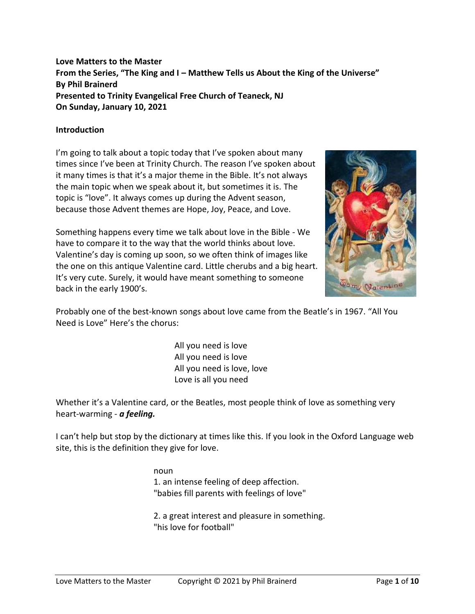# **Love Matters to the Master From the Series, "The King and I – Matthew Tells us About the King of the Universe" By Phil Brainerd Presented to Trinity Evangelical Free Church of Teaneck, NJ On Sunday, January 10, 2021**

### **Introduction**

I'm going to talk about a topic today that I've spoken about many times since I've been at Trinity Church. The reason I've spoken about it many times is that it's a major theme in the Bible. It's not always the main topic when we speak about it, but sometimes it is. The topic is "love". It always comes up during the Advent season, because those Advent themes are Hope, Joy, Peace, and Love.

Something happens every time we talk about love in the Bible - We have to compare it to the way that the world thinks about love. Valentine's day is coming up soon, so we often think of images like the one on this antique Valentine card. Little cherubs and a big heart. It's very cute. Surely, it would have meant something to someone back in the early 1900's.



Probably one of the best-known songs about love came from the Beatle's in 1967. "All You Need is Love" Here's the chorus:

> All you need is love All you need is love All you need is love, love Love is all you need

Whether it's a Valentine card, or the Beatles, most people think of love as something very heart-warming - *a feeling.*

I can't help but stop by the dictionary at times like this. If you look in the Oxford Language web site, this is the definition they give for love.

> noun 1. an intense feeling of deep affection. "babies fill parents with feelings of love"

2. a great interest and pleasure in something. "his love for football"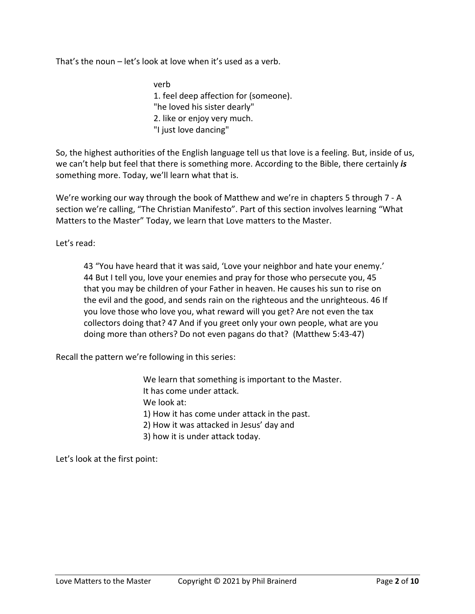That's the noun – let's look at love when it's used as a verb.

verb 1. feel deep affection for (someone). "he loved his sister dearly" 2. like or enjoy very much. "I just love dancing"

So, the highest authorities of the English language tell us that love is a feeling. But, inside of us, we can't help but feel that there is something more. According to the Bible, there certainly *is* something more. Today, we'll learn what that is.

We're working our way through the book of Matthew and we're in chapters 5 through 7 - A section we're calling, "The Christian Manifesto". Part of this section involves learning "What Matters to the Master" Today, we learn that Love matters to the Master.

Let's read:

43 "You have heard that it was said, 'Love your neighbor and hate your enemy.' 44 But I tell you, love your enemies and pray for those who persecute you, 45 that you may be children of your Father in heaven. He causes his sun to rise on the evil and the good, and sends rain on the righteous and the unrighteous. 46 If you love those who love you, what reward will you get? Are not even the tax collectors doing that? 47 And if you greet only your own people, what are you doing more than others? Do not even pagans do that? (Matthew 5:43-47)

Recall the pattern we're following in this series:

We learn that something is important to the Master. It has come under attack. We look at: 1) How it has come under attack in the past.

2) How it was attacked in Jesus' day and

3) how it is under attack today.

Let's look at the first point: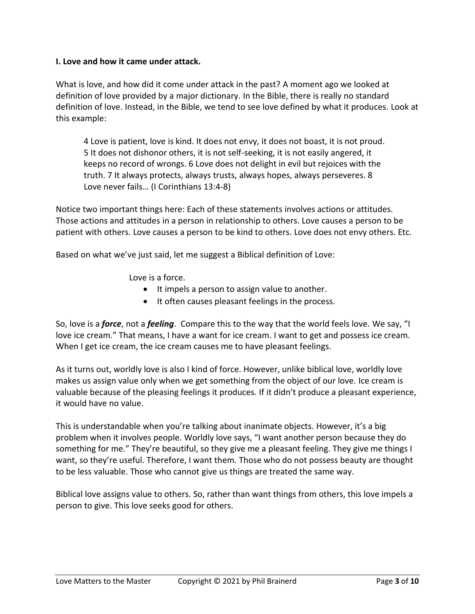### **I. Love and how it came under attack.**

What is love, and how did it come under attack in the past? A moment ago we looked at definition of love provided by a major dictionary. In the Bible, there is really no standard definition of love. Instead, in the Bible, we tend to see love defined by what it produces. Look at this example:

4 Love is patient, love is kind. It does not envy, it does not boast, it is not proud. 5 It does not dishonor others, it is not self-seeking, it is not easily angered, it keeps no record of wrongs. 6 Love does not delight in evil but rejoices with the truth. 7 It always protects, always trusts, always hopes, always perseveres. 8 Love never fails… (I Corinthians 13:4-8)

Notice two important things here: Each of these statements involves actions or attitudes. Those actions and attitudes in a person in relationship to others. Love causes a person to be patient with others. Love causes a person to be kind to others. Love does not envy others. Etc.

Based on what we've just said, let me suggest a Biblical definition of Love:

Love is a force.

- It impels a person to assign value to another.
- It often causes pleasant feelings in the process.

So, love is a *force*, not a *feeling*. Compare this to the way that the world feels love. We say, "I love ice cream." That means, I have a want for ice cream. I want to get and possess ice cream. When I get ice cream, the ice cream causes me to have pleasant feelings.

As it turns out, worldly love is also I kind of force. However, unlike biblical love, worldly love makes us assign value only when we get something from the object of our love. Ice cream is valuable because of the pleasing feelings it produces. If it didn't produce a pleasant experience, it would have no value.

This is understandable when you're talking about inanimate objects. However, it's a big problem when it involves people. Worldly love says, "I want another person because they do something for me." They're beautiful, so they give me a pleasant feeling. They give me things I want, so they're useful. Therefore, I want them. Those who do not possess beauty are thought to be less valuable. Those who cannot give us things are treated the same way.

Biblical love assigns value to others. So, rather than want things from others, this love impels a person to give. This love seeks good for others.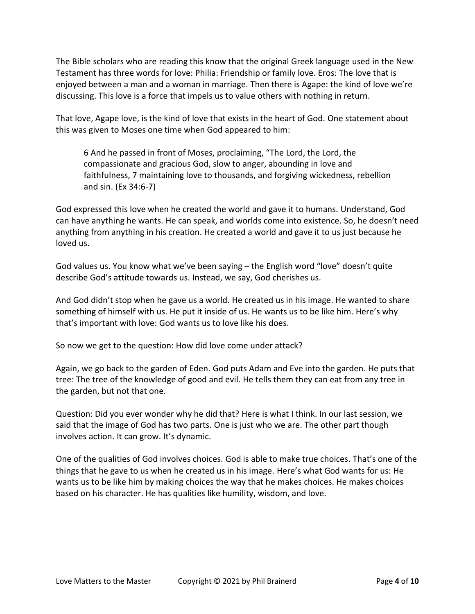The Bible scholars who are reading this know that the original Greek language used in the New Testament has three words for love: Philia: Friendship or family love. Eros: The love that is enjoyed between a man and a woman in marriage. Then there is Agape: the kind of love we're discussing. This love is a force that impels us to value others with nothing in return.

That love, Agape love, is the kind of love that exists in the heart of God. One statement about this was given to Moses one time when God appeared to him:

6 And he passed in front of Moses, proclaiming, "The Lord, the Lord, the compassionate and gracious God, slow to anger, abounding in love and faithfulness, 7 maintaining love to thousands, and forgiving wickedness, rebellion and sin. (Ex 34:6-7)

God expressed this love when he created the world and gave it to humans. Understand, God can have anything he wants. He can speak, and worlds come into existence. So, he doesn't need anything from anything in his creation. He created a world and gave it to us just because he loved us.

God values us. You know what we've been saying – the English word "love" doesn't quite describe God's attitude towards us. Instead, we say, God cherishes us.

And God didn't stop when he gave us a world. He created us in his image. He wanted to share something of himself with us. He put it inside of us. He wants us to be like him. Here's why that's important with love: God wants us to love like his does.

So now we get to the question: How did love come under attack?

Again, we go back to the garden of Eden. God puts Adam and Eve into the garden. He puts that tree: The tree of the knowledge of good and evil. He tells them they can eat from any tree in the garden, but not that one.

Question: Did you ever wonder why he did that? Here is what I think. In our last session, we said that the image of God has two parts. One is just who we are. The other part though involves action. It can grow. It's dynamic.

One of the qualities of God involves choices. God is able to make true choices. That's one of the things that he gave to us when he created us in his image. Here's what God wants for us: He wants us to be like him by making choices the way that he makes choices. He makes choices based on his character. He has qualities like humility, wisdom, and love.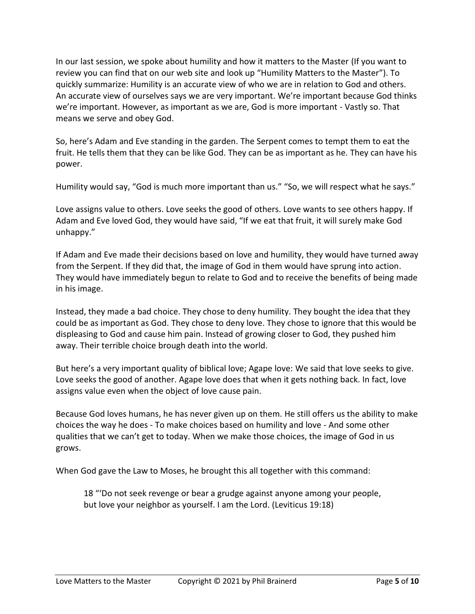In our last session, we spoke about humility and how it matters to the Master (If you want to review you can find that on our web site and look up "Humility Matters to the Master"). To quickly summarize: Humility is an accurate view of who we are in relation to God and others. An accurate view of ourselves says we are very important. We're important because God thinks we're important. However, as important as we are, God is more important - Vastly so. That means we serve and obey God.

So, here's Adam and Eve standing in the garden. The Serpent comes to tempt them to eat the fruit. He tells them that they can be like God. They can be as important as he. They can have his power.

Humility would say, "God is much more important than us." "So, we will respect what he says."

Love assigns value to others. Love seeks the good of others. Love wants to see others happy. If Adam and Eve loved God, they would have said, "If we eat that fruit, it will surely make God unhappy."

If Adam and Eve made their decisions based on love and humility, they would have turned away from the Serpent. If they did that, the image of God in them would have sprung into action. They would have immediately begun to relate to God and to receive the benefits of being made in his image.

Instead, they made a bad choice. They chose to deny humility. They bought the idea that they could be as important as God. They chose to deny love. They chose to ignore that this would be displeasing to God and cause him pain. Instead of growing closer to God, they pushed him away. Their terrible choice brough death into the world.

But here's a very important quality of biblical love; Agape love: We said that love seeks to give. Love seeks the good of another. Agape love does that when it gets nothing back. In fact, love assigns value even when the object of love cause pain.

Because God loves humans, he has never given up on them. He still offers us the ability to make choices the way he does - To make choices based on humility and love - And some other qualities that we can't get to today. When we make those choices, the image of God in us grows.

When God gave the Law to Moses, he brought this all together with this command:

18 "'Do not seek revenge or bear a grudge against anyone among your people, but love your neighbor as yourself. I am the Lord. (Leviticus 19:18)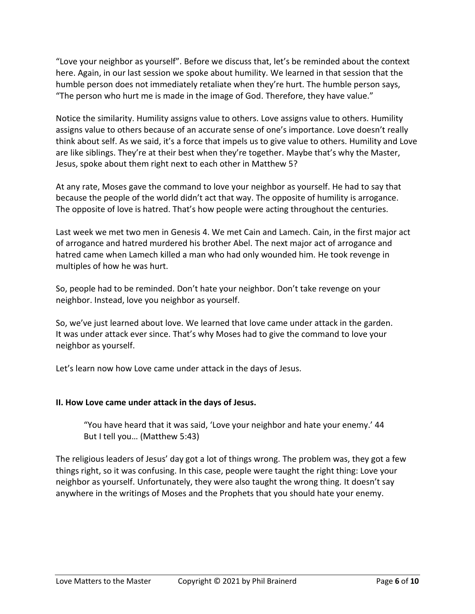"Love your neighbor as yourself". Before we discuss that, let's be reminded about the context here. Again, in our last session we spoke about humility. We learned in that session that the humble person does not immediately retaliate when they're hurt. The humble person says, "The person who hurt me is made in the image of God. Therefore, they have value."

Notice the similarity. Humility assigns value to others. Love assigns value to others. Humility assigns value to others because of an accurate sense of one's importance. Love doesn't really think about self. As we said, it's a force that impels us to give value to others. Humility and Love are like siblings. They're at their best when they're together. Maybe that's why the Master, Jesus, spoke about them right next to each other in Matthew 5?

At any rate, Moses gave the command to love your neighbor as yourself. He had to say that because the people of the world didn't act that way. The opposite of humility is arrogance. The opposite of love is hatred. That's how people were acting throughout the centuries.

Last week we met two men in Genesis 4. We met Cain and Lamech. Cain, in the first major act of arrogance and hatred murdered his brother Abel. The next major act of arrogance and hatred came when Lamech killed a man who had only wounded him. He took revenge in multiples of how he was hurt.

So, people had to be reminded. Don't hate your neighbor. Don't take revenge on your neighbor. Instead, love you neighbor as yourself.

So, we've just learned about love. We learned that love came under attack in the garden. It was under attack ever since. That's why Moses had to give the command to love your neighbor as yourself.

Let's learn now how Love came under attack in the days of Jesus.

# **II. How Love came under attack in the days of Jesus.**

"You have heard that it was said, 'Love your neighbor and hate your enemy.' 44 But I tell you… (Matthew 5:43)

The religious leaders of Jesus' day got a lot of things wrong. The problem was, they got a few things right, so it was confusing. In this case, people were taught the right thing: Love your neighbor as yourself. Unfortunately, they were also taught the wrong thing. It doesn't say anywhere in the writings of Moses and the Prophets that you should hate your enemy.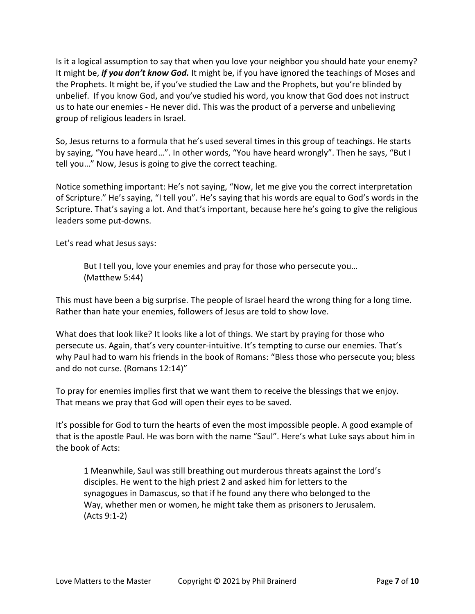Is it a logical assumption to say that when you love your neighbor you should hate your enemy? It might be, *if you don't know God.* It might be, if you have ignored the teachings of Moses and the Prophets. It might be, if you've studied the Law and the Prophets, but you're blinded by unbelief. If you know God, and you've studied his word, you know that God does not instruct us to hate our enemies - He never did. This was the product of a perverse and unbelieving group of religious leaders in Israel.

So, Jesus returns to a formula that he's used several times in this group of teachings. He starts by saying, "You have heard…". In other words, "You have heard wrongly". Then he says, "But I tell you…" Now, Jesus is going to give the correct teaching.

Notice something important: He's not saying, "Now, let me give you the correct interpretation of Scripture." He's saying, "I tell you". He's saying that his words are equal to God's words in the Scripture. That's saying a lot. And that's important, because here he's going to give the religious leaders some put-downs.

Let's read what Jesus says:

But I tell you, love your enemies and pray for those who persecute you… (Matthew 5:44)

This must have been a big surprise. The people of Israel heard the wrong thing for a long time. Rather than hate your enemies, followers of Jesus are told to show love.

What does that look like? It looks like a lot of things. We start by praying for those who persecute us. Again, that's very counter-intuitive. It's tempting to curse our enemies. That's why Paul had to warn his friends in the book of Romans: "Bless those who persecute you; bless and do not curse. (Romans 12:14)"

To pray for enemies implies first that we want them to receive the blessings that we enjoy. That means we pray that God will open their eyes to be saved.

It's possible for God to turn the hearts of even the most impossible people. A good example of that is the apostle Paul. He was born with the name "Saul". Here's what Luke says about him in the book of Acts:

1 Meanwhile, Saul was still breathing out murderous threats against the Lord's disciples. He went to the high priest 2 and asked him for letters to the synagogues in Damascus, so that if he found any there who belonged to the Way, whether men or women, he might take them as prisoners to Jerusalem. (Acts 9:1-2)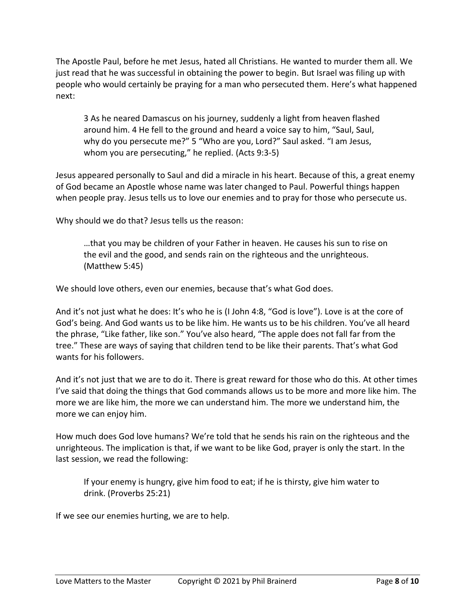The Apostle Paul, before he met Jesus, hated all Christians. He wanted to murder them all. We just read that he was successful in obtaining the power to begin. But Israel was filing up with people who would certainly be praying for a man who persecuted them. Here's what happened next:

3 As he neared Damascus on his journey, suddenly a light from heaven flashed around him. 4 He fell to the ground and heard a voice say to him, "Saul, Saul, why do you persecute me?" 5 "Who are you, Lord?" Saul asked. "I am Jesus, whom you are persecuting," he replied. (Acts 9:3-5)

Jesus appeared personally to Saul and did a miracle in his heart. Because of this, a great enemy of God became an Apostle whose name was later changed to Paul. Powerful things happen when people pray. Jesus tells us to love our enemies and to pray for those who persecute us.

Why should we do that? Jesus tells us the reason:

…that you may be children of your Father in heaven. He causes his sun to rise on the evil and the good, and sends rain on the righteous and the unrighteous. (Matthew 5:45)

We should love others, even our enemies, because that's what God does.

And it's not just what he does: It's who he is (I John 4:8, "God is love"). Love is at the core of God's being. And God wants us to be like him. He wants us to be his children. You've all heard the phrase, "Like father, like son." You've also heard, "The apple does not fall far from the tree." These are ways of saying that children tend to be like their parents. That's what God wants for his followers.

And it's not just that we are to do it. There is great reward for those who do this. At other times I've said that doing the things that God commands allows us to be more and more like him. The more we are like him, the more we can understand him. The more we understand him, the more we can enjoy him.

How much does God love humans? We're told that he sends his rain on the righteous and the unrighteous. The implication is that, if we want to be like God, prayer is only the start. In the last session, we read the following:

If your enemy is hungry, give him food to eat; if he is thirsty, give him water to drink. (Proverbs 25:21)

If we see our enemies hurting, we are to help.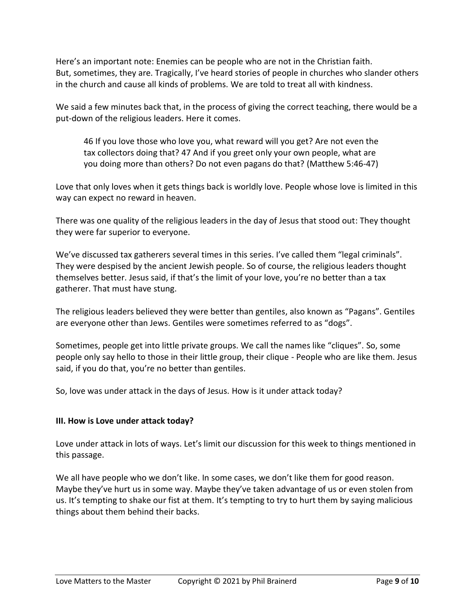Here's an important note: Enemies can be people who are not in the Christian faith. But, sometimes, they are. Tragically, I've heard stories of people in churches who slander others in the church and cause all kinds of problems. We are told to treat all with kindness.

We said a few minutes back that, in the process of giving the correct teaching, there would be a put-down of the religious leaders. Here it comes.

46 If you love those who love you, what reward will you get? Are not even the tax collectors doing that? 47 And if you greet only your own people, what are you doing more than others? Do not even pagans do that? (Matthew 5:46-47)

Love that only loves when it gets things back is worldly love. People whose love is limited in this way can expect no reward in heaven.

There was one quality of the religious leaders in the day of Jesus that stood out: They thought they were far superior to everyone.

We've discussed tax gatherers several times in this series. I've called them "legal criminals". They were despised by the ancient Jewish people. So of course, the religious leaders thought themselves better. Jesus said, if that's the limit of your love, you're no better than a tax gatherer. That must have stung.

The religious leaders believed they were better than gentiles, also known as "Pagans". Gentiles are everyone other than Jews. Gentiles were sometimes referred to as "dogs".

Sometimes, people get into little private groups. We call the names like "cliques". So, some people only say hello to those in their little group, their clique - People who are like them. Jesus said, if you do that, you're no better than gentiles.

So, love was under attack in the days of Jesus. How is it under attack today?

# **III. How is Love under attack today?**

Love under attack in lots of ways. Let's limit our discussion for this week to things mentioned in this passage.

We all have people who we don't like. In some cases, we don't like them for good reason. Maybe they've hurt us in some way. Maybe they've taken advantage of us or even stolen from us. It's tempting to shake our fist at them. It's tempting to try to hurt them by saying malicious things about them behind their backs.